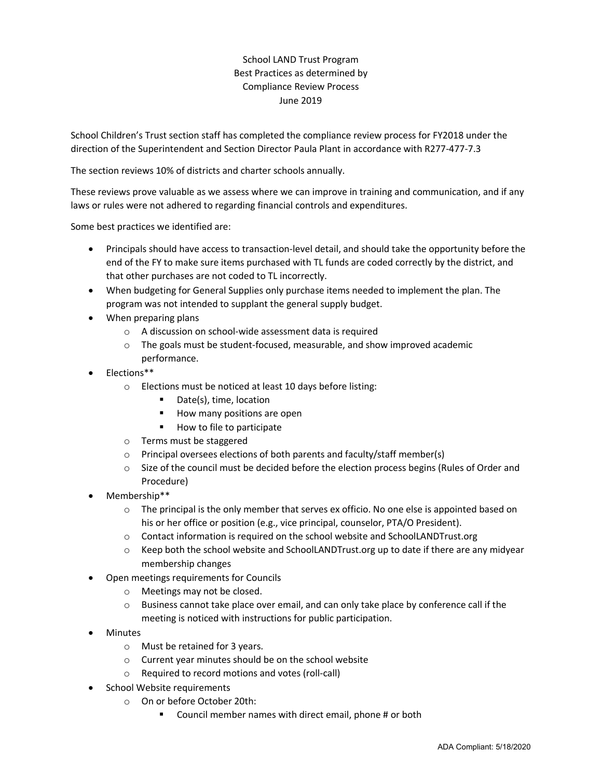## School LAND Trust Program Best Practices as determined by Compliance Review Process June 2019

School Children's Trust section staff has completed the compliance review process for FY2018 under the direction of the Superintendent and Section Director Paula Plant in accordance with R277-477-7.3

The section reviews 10% of districts and charter schools annually.

These reviews prove valuable as we assess where we can improve in training and communication, and if any laws or rules were not adhered to regarding financial controls and expenditures.

Some best practices we identified are:

- Principals should have access to transaction-level detail, and should take the opportunity before the end of the FY to make sure items purchased with TL funds are coded correctly by the district, and that other purchases are not coded to TL incorrectly.
- When budgeting for General Supplies only purchase items needed to implement the plan. The program was not intended to supplant the general supply budget.
- When preparing plans
	- o A discussion on school-wide assessment data is required
	- o The goals must be student-focused, measurable, and show improved academic performance.
- Elections\*\*
	- o Elections must be noticed at least 10 days before listing:
		- Date(s), time, location
		- $\blacksquare$  How many positions are open
		- How to file to participate
	- o Terms must be staggered
	- o Principal oversees elections of both parents and faculty/staff member(s)
	- o Size of the council must be decided before the election process begins (Rules of Order and Procedure)
- Membership\*\*
	- $\circ$  The principal is the only member that serves ex officio. No one else is appointed based on his or her office or position (e.g., vice principal, counselor, PTA/O President).
	- o Contact information is required on the school website and SchoolLANDTrust.org
	- o Keep both the school website and SchoolLANDTrust.org up to date if there are any midyear membership changes
- Open meetings requirements for Councils
	- o Meetings may not be closed.
	- o Business cannot take place over email, and can only take place by conference call if the meeting is noticed with instructions for public participation.
- Minutes
	- o Must be retained for 3 years.
	- o Current year minutes should be on the school website
	- o Required to record motions and votes (roll-call)
- School Website requirements
	- o On or before October 20th:
		- Council member names with direct email, phone # or both